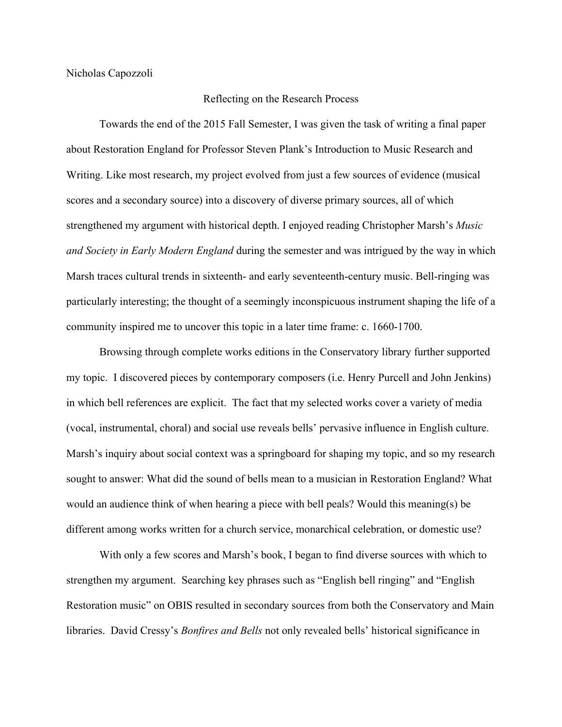Nicholas Capozzoli

## Reflecting on the Research Process

Towards the end of the 2015 Fall Semester, I was given the task of writing a final paper about Restoration England for Professor Steven Plank's Introduction to Music Research and Writing. Like most research, my project evolved from just a few sources of evidence (musical scores and a secondary source) into a discovery of diverse primary sources, all of which strengthened my argument with historical depth. I enjoyed reading Christopher Marsh's *Music and Society in Early Modern England* during the semester and was intrigued by the way in which Marsh traces cultural trends in sixteenth- and early seventeenth-century music. Bell-ringing was particularly interesting; the thought of a seemingly inconspicuous instrument shaping the life of a community inspired me to uncover this topic in a later time frame: c. 1660-1700.

Browsing through complete works editions in the Conservatory library further supported my topic. I discovered pieces by contemporary composers (i.e. Henry Purcell and John Jenkins) in which bell references are explicit. The fact that my selected works cover a variety of media (vocal, instrumental, choral) and social use reveals bells' pervasive influence in English culture. Marsh's inquiry about social context was a springboard for shaping my topic, and so my research sought to answer: What did the sound of bells mean to a musician in Restoration England? What would an audience think of when hearing a piece with bell peals? Would this meaning(s) be different among works written for a church service, monarchical celebration, or domestic use?

With only a few scores and Marsh's book, I began to find diverse sources with which to strengthen my argument. Searching key phrases such as "English bell ringing" and "English Restoration music" on OBIS resulted in secondary sources from both the Conservatory and Main libraries. David Cressy's *Bonfires and Bells* not only revealed bells' historical significance in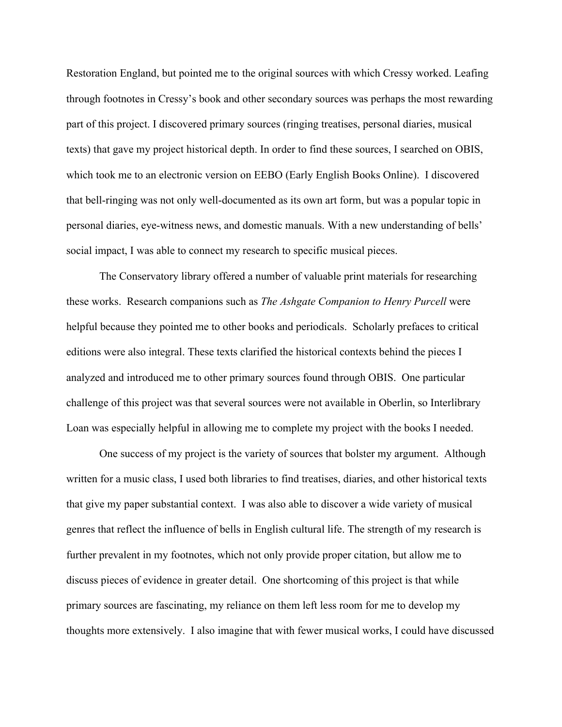Restoration England, but pointed me to the original sources with which Cressy worked. Leafing through footnotes in Cressy's book and other secondary sources was perhaps the most rewarding part of this project. I discovered primary sources (ringing treatises, personal diaries, musical texts) that gave my project historical depth. In order to find these sources, I searched on OBIS, which took me to an electronic version on EEBO (Early English Books Online). I discovered that bell-ringing was not only well-documented as its own art form, but was a popular topic in personal diaries, eye-witness news, and domestic manuals. With a new understanding of bells' social impact, I was able to connect my research to specific musical pieces.

The Conservatory library offered a number of valuable print materials for researching these works. Research companions such as *The Ashgate Companion to Henry Purcell* were helpful because they pointed me to other books and periodicals. Scholarly prefaces to critical editions were also integral. These texts clarified the historical contexts behind the pieces I analyzed and introduced me to other primary sources found through OBIS. One particular challenge of this project was that several sources were not available in Oberlin, so Interlibrary Loan was especially helpful in allowing me to complete my project with the books I needed.

One success of my project is the variety of sources that bolster my argument. Although written for a music class, I used both libraries to find treatises, diaries, and other historical texts that give my paper substantial context. I was also able to discover a wide variety of musical genres that reflect the influence of bells in English cultural life. The strength of my research is further prevalent in my footnotes, which not only provide proper citation, but allow me to discuss pieces of evidence in greater detail. One shortcoming of this project is that while primary sources are fascinating, my reliance on them left less room for me to develop my thoughts more extensively. I also imagine that with fewer musical works, I could have discussed